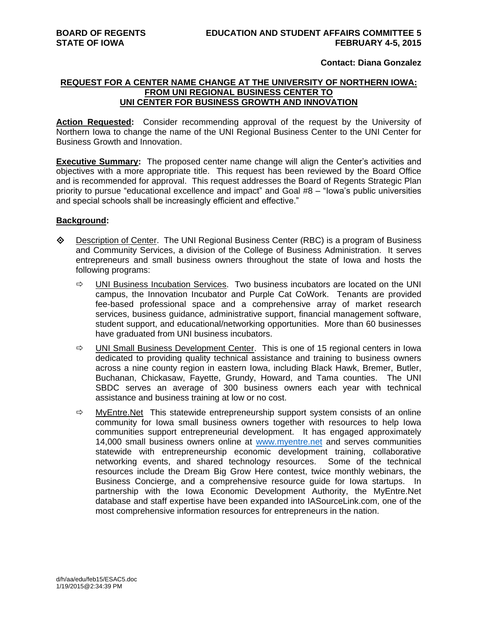## **Contact: Diana Gonzalez**

## **REQUEST FOR A CENTER NAME CHANGE AT THE UNIVERSITY OF NORTHERN IOWA: FROM UNI REGIONAL BUSINESS CENTER TO UNI CENTER FOR BUSINESS GROWTH AND INNOVATION**

**Action Requested:** Consider recommending approval of the request by the University of Northern Iowa to change the name of the UNI Regional Business Center to the UNI Center for Business Growth and Innovation.

**Executive Summary:** The proposed center name change will align the Center's activities and objectives with a more appropriate title. This request has been reviewed by the Board Office and is recommended for approval. This request addresses the Board of Regents Strategic Plan priority to pursue "educational excellence and impact" and Goal #8 – "Iowa's public universities and special schools shall be increasingly efficient and effective."

## **Background:**

- Description of Center. The UNI Regional Business Center (RBC) is a program of Business and Community Services, a division of the College of Business Administration. It serves entrepreneurs and small business owners throughout the state of Iowa and hosts the following programs:
	- $\Rightarrow$  UNI Business Incubation Services. Two business incubators are located on the UNI campus, the Innovation Incubator and Purple Cat CoWork. Tenants are provided fee-based professional space and a comprehensive array of market research services, business guidance, administrative support, financial management software, student support, and educational/networking opportunities. More than 60 businesses have graduated from UNI business incubators.
	- $\Rightarrow$  UNI Small Business Development Center. This is one of 15 regional centers in Iowa dedicated to providing quality technical assistance and training to business owners across a nine county region in eastern Iowa, including Black Hawk, Bremer, Butler, Buchanan, Chickasaw, Fayette, Grundy, Howard, and Tama counties. The UNI SBDC serves an average of 300 business owners each year with technical assistance and business training at low or no cost.
	- $\Rightarrow$  MyEntre. Net This statewide entrepreneurship support system consists of an online community for Iowa small business owners together with resources to help Iowa communities support entrepreneurial development. It has engaged approximately 14,000 small business owners online at [www.myentre.net](http://www.myentre.net/) and serves communities statewide with entrepreneurship economic development training, collaborative networking events, and shared technology resources. Some of the technical resources include the Dream Big Grow Here contest, twice monthly webinars, the Business Concierge, and a comprehensive resource guide for Iowa startups. In partnership with the Iowa Economic Development Authority, the MyEntre.Net database and staff expertise have been expanded into IASourceLink.com, one of the most comprehensive information resources for entrepreneurs in the nation.